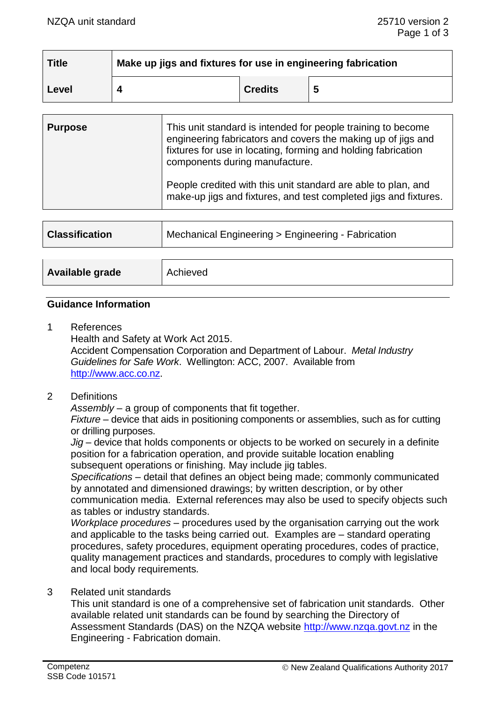| $\mid$ Title | Make up jigs and fixtures for use in engineering fabrication |                |   |
|--------------|--------------------------------------------------------------|----------------|---|
| Level        |                                                              | <b>Credits</b> | 5 |

| <b>Purpose</b> | This unit standard is intended for people training to become<br>engineering fabricators and covers the making up of jigs and<br>fixtures for use in locating, forming and holding fabrication<br>components during manufacture. |  |
|----------------|---------------------------------------------------------------------------------------------------------------------------------------------------------------------------------------------------------------------------------|--|
|                | People credited with this unit standard are able to plan, and<br>make-up jigs and fixtures, and test completed jigs and fixtures.                                                                                               |  |

| <b>Classification</b> | Mechanical Engineering > Engineering - Fabrication |  |
|-----------------------|----------------------------------------------------|--|
|                       |                                                    |  |
| Available grade       | Achieved                                           |  |

#### **Guidance Information**

1 References Health and Safety at Work Act 2015. Accident Compensation Corporation and Department of Labour. *Metal Industry Guidelines for Safe Work*. Wellington: ACC, 2007. Available from [http://www.acc.co.nz.](http://www.acc.co.nz/)

# 2 Definitions

*Assembly* – a group of components that fit together.

*Fixture –* device that aids in positioning components or assemblies, such as for cutting or drilling purposes.

*Jig* – device that holds components or objects to be worked on securely in a definite position for a fabrication operation, and provide suitable location enabling subsequent operations or finishing. May include jig tables.

*Specifications –* detail that defines an object being made; commonly communicated by annotated and dimensioned drawings; by written description, or by other communication media. External references may also be used to specify objects such as tables or industry standards.

*Workplace procedures –* procedures used by the organisation carrying out the work and applicable to the tasks being carried out. Examples are – standard operating procedures, safety procedures, equipment operating procedures, codes of practice, quality management practices and standards, procedures to comply with legislative and local body requirements*.*

#### 3 Related unit standards

This unit standard is one of a comprehensive set of fabrication unit standards. Other available related unit standards can be found by searching the Directory of Assessment Standards (DAS) on the NZQA website [http://www.nzqa.govt.nz](http://www.nzqa.govt.nz/) in the Engineering - Fabrication domain.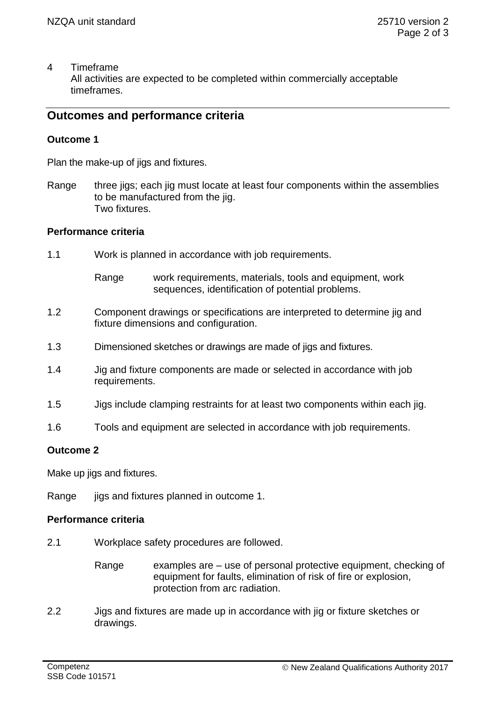#### 4 Timeframe All activities are expected to be completed within commercially acceptable timeframes.

# **Outcomes and performance criteria**

# **Outcome 1**

Plan the make-up of jigs and fixtures.

Range three jigs; each jig must locate at least four components within the assemblies to be manufactured from the jig. Two fixtures.

#### **Performance criteria**

- 1.1 Work is planned in accordance with job requirements.
	- Range work requirements, materials, tools and equipment, work sequences, identification of potential problems.
- 1.2 Component drawings or specifications are interpreted to determine jig and fixture dimensions and configuration.
- 1.3 Dimensioned sketches or drawings are made of jigs and fixtures.
- 1.4 Jig and fixture components are made or selected in accordance with job requirements.
- 1.5 Jigs include clamping restraints for at least two components within each jig.
- 1.6 Tools and equipment are selected in accordance with job requirements.

## **Outcome 2**

Make up jigs and fixtures.

Range jigs and fixtures planned in outcome 1.

## **Performance criteria**

- 2.1 Workplace safety procedures are followed.
	- Range examples are use of personal protective equipment, checking of equipment for faults, elimination of risk of fire or explosion, protection from arc radiation.
- 2.2 Jigs and fixtures are made up in accordance with jig or fixture sketches or drawings.